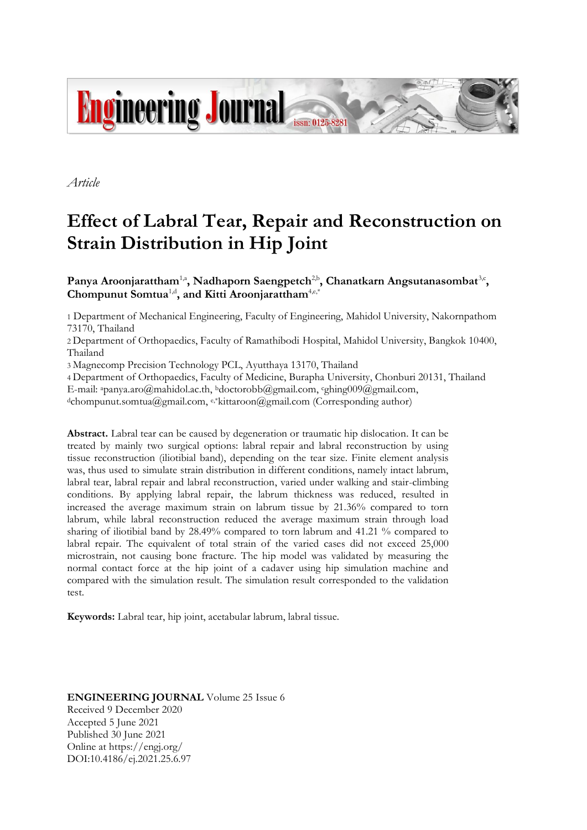

*Article*

# **Effect of Labral Tear, Repair and Reconstruction on Strain Distribution in Hip Joint**

Panya Aroonjarattham<sup>1,a</sup>, Nadhaporn Saengpetch<sup>2,b</sup>, Chanatkarn Angsutanasombat<sup>3,c</sup>, **Chompunut Somtua**1,d **, and Kitti Aroonjarattham**4,e,\*

1 Department of Mechanical Engineering, Faculty of Engineering, Mahidol University, Nakornpathom 73170, Thailand

2 Department of Orthopaedics, Faculty of Ramathibodi Hospital, Mahidol University, Bangkok 10400, Thailand

3 Magnecomp Precision Technology PCL, Ayutthaya 13170, Thailand

4 Department of Orthopaedics, Faculty of Medicine, Burapha University, Chonburi 20131, Thailand

E-mail: <sup>a</sup>panya.aro@mahidol.ac.th, <sup>b</sup>doctorobb@gmail.com, cghing009@gmail.com,

d[c](mailto:ddoctorobb@gmail.com)hompunut.somtua@gmail.com, e,\*kittaroon@gmail.com (Corresponding author)

**Abstract.** Labral tear can be caused by degeneration or traumatic hip dislocation. It can be treated by mainly two surgical options: labral repair and labral reconstruction by using tissue reconstruction (iliotibial band), depending on the tear size. Finite element analysis was, thus used to simulate strain distribution in different conditions, namely intact labrum, labral tear, labral repair and labral reconstruction, varied under walking and stair-climbing conditions. By applying labral repair, the labrum thickness was reduced, resulted in increased the average maximum strain on labrum tissue by 21.36% compared to torn labrum, while labral reconstruction reduced the average maximum strain through load sharing of iliotibial band by 28.49% compared to torn labrum and 41.21 % compared to labral repair. The equivalent of total strain of the varied cases did not exceed 25,000 microstrain, not causing bone fracture. The hip model was validated by measuring the normal contact force at the hip joint of a cadaver using hip simulation machine and compared with the simulation result. The simulation result corresponded to the validation test.

**Keywords:** Labral tear, hip joint, acetabular labrum, labral tissue.

**ENGINEERING JOURNAL** Volume 25 Issue 6 Received 9 December 2020 Accepted 5 June 2021 Published 30 June 2021 Online at https://engj.org/ DOI:10.4186/ej.2021.25.6.97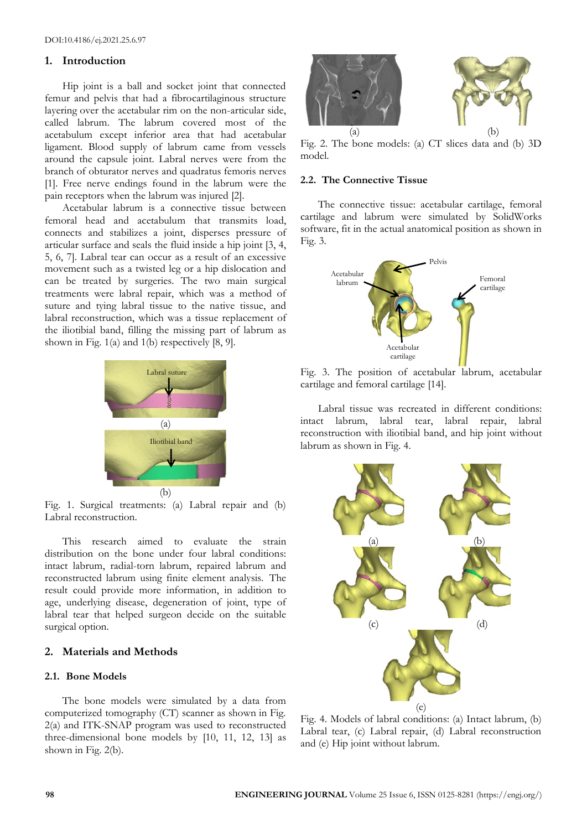## **1. Introduction**

Hip joint is a ball and socket joint that connected femur and pelvis that had a fibrocartilaginous structure layering over the acetabular rim on the non-articular side, called labrum. The labrum covered most of the acetabulum except inferior area that had acetabular ligament. Blood supply of labrum came from vessels around the capsule joint. Labral nerves were from the branch of obturator nerves and quadratus femoris nerves [1]. Free nerve endings found in the labrum were the pain receptors when the labrum was injured [2].

Acetabular labrum is a connective tissue between femoral head and acetabulum that transmits load, connects and stabilizes a joint, disperses pressure of articular surface and seals the fluid inside a hip joint [3, 4, 5, 6, 7]. Labral tear can occur as a result of an excessive movement such as a twisted leg or a hip dislocation and can be treated by surgeries. The two main surgical treatments were labral repair, which was a method of suture and tying labral tissue to the native tissue, and labral reconstruction, which was a tissue replacement of the iliotibial band, filling the missing part of labrum as shown in Fig.  $1(a)$  and  $1(b)$  respectively [8, 9].



Fig. 1. Surgical treatments: (a) Labral repair and (b) Labral reconstruction.

This research aimed to evaluate the strain distribution on the bone under four labral conditions: intact labrum, radial-torn labrum, repaired labrum and reconstructed labrum using finite element analysis. The result could provide more information, in addition to age, underlying disease, degeneration of joint, type of labral tear that helped surgeon decide on the suitable surgical option.

## **2. Materials and Methods**

# **2.1. Bone Models**

The bone models were simulated by a data from computerized tomography (CT) scanner as shown in Fig. 2(a) and ITK-SNAP program was used to reconstructed three-dimensional bone models by [10, 11, 12, 13] as shown in Fig. 2(b).



Fig. 2. The bone models: (a) CT slices data and (b) 3D model.

## **2.2. The Connective Tissue**

The connective tissue: acetabular cartilage, femoral cartilage and labrum were simulated by SolidWorks software, fit in the actual anatomical position as shown in Fig. 3.



Fig. 3. The position of acetabular labrum, acetabular cartilage and femoral cartilage [14].

Labral tissue was recreated in different conditions: intact labrum, labral tear, labral repair, labral reconstruction with iliotibial band, and hip joint without labrum as shown in Fig. 4.



Fig. 4. Models of labral conditions: (a) Intact labrum, (b) Labral tear, (c) Labral repair, (d) Labral reconstruction and (e) Hip joint without labrum.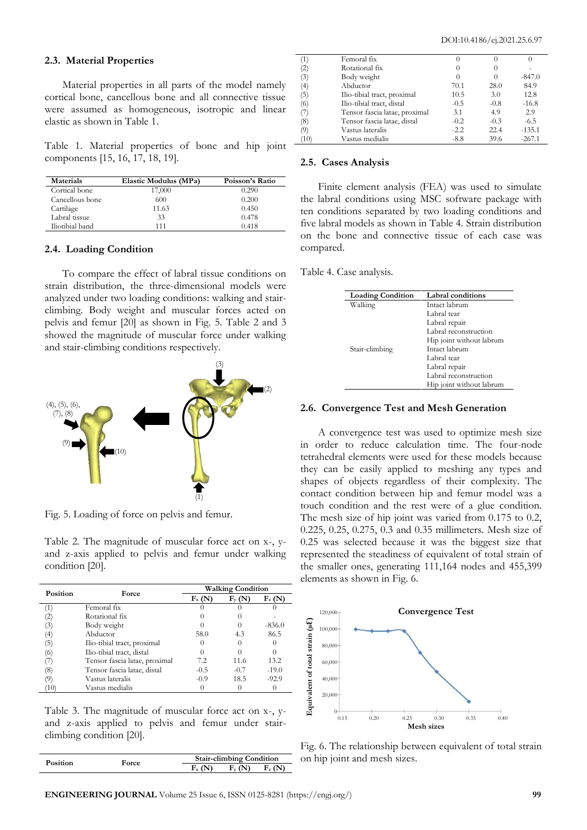## **2.3. Material Properties**

Material properties in all parts of the model namely cortical bone, cancellous bone and all connective tissue were assumed as homogeneous, isotropic and linear elastic as shown in Table 1.

Table 1. Material properties of bone and hip joint components [15, 16, 17, 18, 19].

| Materials       | Elastic Modulus (MPa) | Poisson's Ratio |
|-----------------|-----------------------|-----------------|
| Cortical bone   | 17,000                | 0.290           |
| Cancellous bone | 600                   | 0.200           |
| Cartilage       | 11.63                 | 0.450           |
| Labral tissue   | 33                    | 0.478           |
| Iliotibial band | 111                   | 0.418           |

## **2.4. Loading Condition**

To compare the effect of labral tissue conditions on strain distribution, the three-dimensional models were analyzed under two loading conditions: walking and stairclimbing. Body weight and muscular forces acted on pelvis and femur [20] as shown in Fig. 5. Table 2 and 3 showed the magnitude of muscular force under walking and stair-climbing conditions respectively.



Fig. 5. Loading of force on pelvis and femur.

Table 2. The magnitude of muscular force act on x-, yand z-axis applied to pelvis and femur under walking condition [20].

| Position         | Force                         | <b>Walking Condition</b> |                              |          |  |
|------------------|-------------------------------|--------------------------|------------------------------|----------|--|
|                  |                               | $F_x(N)$                 | $\mathrm{F}_{\mathrm{v}}$ (N | $F_z(N)$ |  |
|                  | Femoral fix                   |                          |                              |          |  |
| (2)              | Rotational fix                |                          |                              |          |  |
| (3)              | Body weight                   |                          |                              | $-836.0$ |  |
| $\left(4\right)$ | Abductor                      | 58.0                     | 4.3                          | 86.5     |  |
| (5)              | Ilio-tibial tract, proximal   |                          |                              |          |  |
| (6)              | Ilio-tibial tract, distal     |                          |                              |          |  |
| (7)              | Tensor fascia latae, proximal | 7.2                      | 11.6                         | 13.2     |  |
| (8)              | Tensor fascia latae, distal   | $-0.5$                   | $-0.7$                       | $-19.0$  |  |
| (9)              | Vastus lateralis              | $-0.9$                   | 18.5                         | $-92.9$  |  |
| (10)             | Vastus medialis               |                          |                              |          |  |

Table 3. The magnitude of muscular force act on x-, yand z-axis applied to pelvis and femur under stairclimbing condition [20].

| Position |       | <b>Stair-climbing Condition</b> |  |  |
|----------|-------|---------------------------------|--|--|
|          | 'orce |                                 |  |  |

| (1)  | Femoral fix                   |          | $\theta$ |          |
|------|-------------------------------|----------|----------|----------|
| (2)  | Rotational fix                | $\Omega$ | $\theta$ |          |
| (3)  | Body weight                   | $\theta$ | $\theta$ | $-847.0$ |
| (4)  | Abductor                      | 70.1     | 28.0     | 84.9     |
| (5)  | Ilio-tibial tract, proximal   | 10.5     | 3.0      | 12.8     |
| (6)  | Ilio-tibial tract, distal     | $-0.5$   | $-0.8$   | $-16.8$  |
| (7)  | Tensor fascia latae, proximal | 3.1      | 4.9      | 2.9      |
| (8)  | Tensor fascia latae, distal   | $-0.2$   | $-0.3$   | $-6.5$   |
| (9)  | Vastus lateralis              | $-2.2$   | 22.4     | $-135.1$ |
| (10) | Vastus medialis               | $-8.8$   | 39.6     | $-267.1$ |
|      |                               |          |          |          |

#### **2.5. Cases Analysis**

Finite element analysis (FEA) was used to simulate the labral conditions using MSC software package with ten conditions separated by two loading conditions and five labral models as shown in Table 4. Strain distribution on the bone and connective tissue of each case was compared.

Table 4. Case analysis.

| <b>Loading Condition</b> | Labral conditions        |
|--------------------------|--------------------------|
| Walking                  | Intact labrum            |
|                          | Labral tear              |
|                          | Labral repair            |
|                          | Labral reconstruction    |
|                          | Hip joint without labrum |
| Stair-climbing           | Intact labrum            |
|                          | Labral tear              |
|                          | Labral repair            |
|                          | Labral reconstruction    |
|                          | Hip joint without labrum |

## **2.6. Convergence Test and Mesh Generation**

A convergence test was used to optimize mesh size in order to reduce calculation time. The four-node tetrahedral elements were used for these models because they can be easily applied to meshing any types and shapes of objects regardless of their complexity. The contact condition between hip and femur model was a touch condition and the rest were of a glue condition. The mesh size of hip joint was varied from 0.175 to 0.2, 0.225, 0.25, 0.275, 0.3 and 0.35 millimeters. Mesh size of 0.25 was selected because it was the biggest size that represented the steadiness of equivalent of total strain of the smaller ones, generating 111,164 nodes and 455,399 elements as shown in Fig. 6.



Fig. 6. The relationship between equivalent of total strain on hip joint and mesh sizes.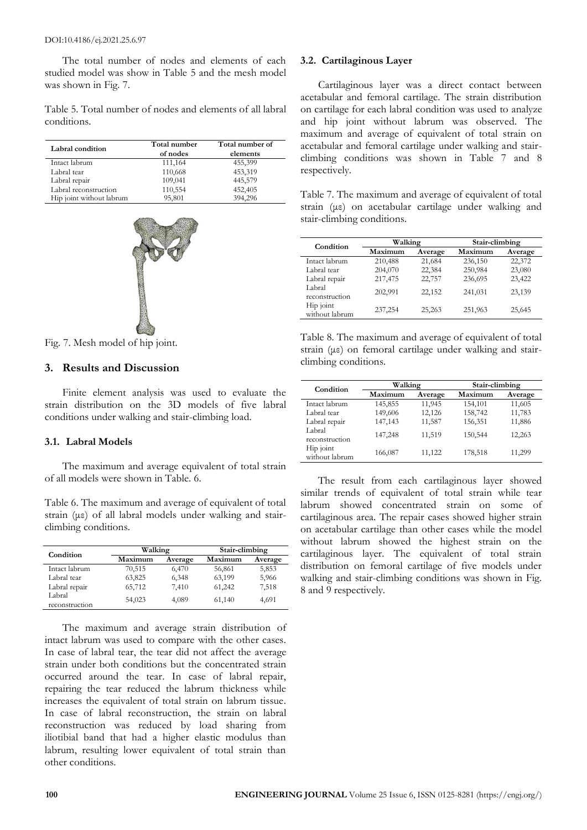The total number of nodes and elements of each studied model was show in Table 5 and the mesh model was shown in Fig. 7.

Table 5. Total number of nodes and elements of all labral conditions.

| Labral condition         | Total number<br>of nodes | Total number of<br>elements |
|--------------------------|--------------------------|-----------------------------|
| Intact labrum            | 111,164                  | 455,399                     |
| Labral tear              | 110,668                  | 453,319                     |
| Labral repair            | 109,041                  | 445,579                     |
| Labral reconstruction    | 110,554                  | 452,405                     |
| Hip joint without labrum | 95,801                   | 394,296                     |



Fig. 7. Mesh model of hip joint.

## **3. Results and Discussion**

Finite element analysis was used to evaluate the strain distribution on the 3D models of five labral conditions under walking and stair-climbing load.

## **3.1. Labral Models**

The maximum and average equivalent of total strain of all models were shown in Table. 6.

Table 6. The maximum and average of equivalent of total strain (με) of all labral models under walking and stairclimbing conditions.

| Condition      | Walking |         | Stair-climbing |         |  |
|----------------|---------|---------|----------------|---------|--|
|                | Maximum | Average | Maximum        | Average |  |
| Intact labrum  | 70,515  | 6,470   | 56,861         | 5,853   |  |
| Labral tear    | 63,825  | 6,348   | 63,199         | 5,966   |  |
| Labral repair  | 65,712  | 7,410   | 61,242         | 7,518   |  |
| Labral         | 54,023  | 4,089   |                |         |  |
| reconstruction |         |         | 61,140         | 4,691   |  |

The maximum and average strain distribution of intact labrum was used to compare with the other cases. In case of labral tear, the tear did not affect the average strain under both conditions but the concentrated strain occurred around the tear. In case of labral repair, repairing the tear reduced the labrum thickness while increases the equivalent of total strain on labrum tissue. In case of labral reconstruction, the strain on labral reconstruction was reduced by load sharing from iliotibial band that had a higher elastic modulus than labrum, resulting lower equivalent of total strain than other conditions.

## **3.2. Cartilaginous Layer**

Cartilaginous layer was a direct contact between acetabular and femoral cartilage. The strain distribution on cartilage for each labral condition was used to analyze and hip joint without labrum was observed. The maximum and average of equivalent of total strain on acetabular and femoral cartilage under walking and stairclimbing conditions was shown in Table 7 and 8 respectively.

Table 7. The maximum and average of equivalent of total strain (με) on acetabular cartilage under walking and stair-climbing conditions.

| Condition                   | Walking |         | Stair-climbing |         |  |
|-----------------------------|---------|---------|----------------|---------|--|
|                             | Maximum | Average | Maximum        | Average |  |
| Intact labrum               | 210,488 | 21,684  | 236,150        | 22,372  |  |
| Labral tear                 | 204,070 | 22,384  | 250,984        | 23,080  |  |
| Labral repair               | 217,475 | 22,757  | 236,695        | 23,422  |  |
| Labral<br>reconstruction    | 202,991 | 22,152  | 241,031        | 23,139  |  |
| Hip joint<br>without labrum | 237,254 | 25,263  | 251,963        | 25,645  |  |

|  |                      | Table 8. The maximum and average of equivalent of total                      |  |  |
|--|----------------------|------------------------------------------------------------------------------|--|--|
|  |                      | strain ( $\mu$ $\varepsilon$ ) on femoral cartilage under walking and stair- |  |  |
|  | climbing conditions. |                                                                              |  |  |

| Condition                   | Walking |         | Stair-climbing |         |
|-----------------------------|---------|---------|----------------|---------|
|                             | Maximum | Average | Maximum        | Average |
| Intact labrum               | 145,855 | 11,945  | 154,101        | 11,605  |
| Labral tear                 | 149,606 | 12,126  | 158,742        | 11,783  |
| Labral repair               | 147,143 | 11,587  | 156,351        | 11,886  |
| Labral<br>reconstruction    | 147,248 | 11,519  | 150,544        | 12,263  |
| Hip joint<br>without labrum | 166,087 | 11,122  | 178,518        | 11,299  |

The result from each cartilaginous layer showed similar trends of equivalent of total strain while tear labrum showed concentrated strain on some of cartilaginous area. The repair cases showed higher strain on acetabular cartilage than other cases while the model without labrum showed the highest strain on the cartilaginous layer. The equivalent of total strain distribution on femoral cartilage of five models under walking and stair-climbing conditions was shown in Fig. 8 and 9 respectively.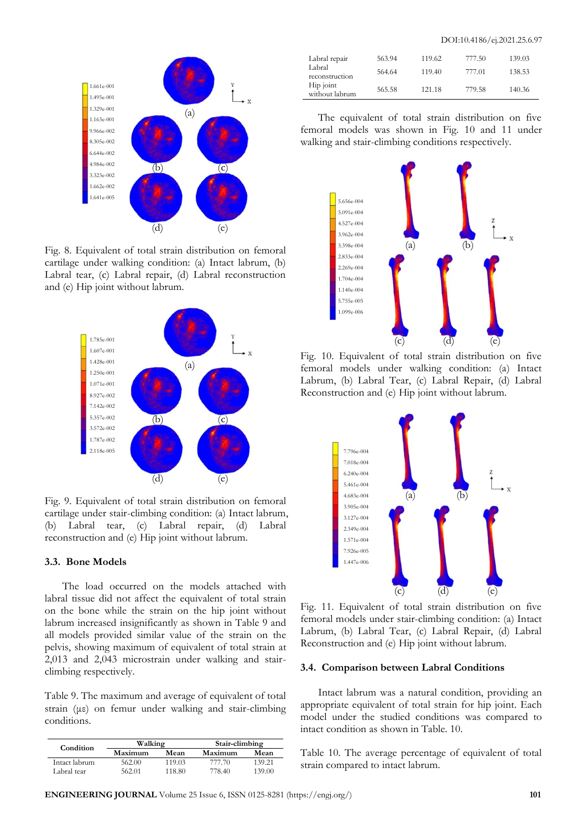

Fig. 8. Equivalent of total strain distribution on femoral cartilage under walking condition: (a) Intact labrum, (b) Labral tear, (c) Labral repair, (d) Labral reconstruction and (e) Hip joint without labrum.



Fig. 9. Equivalent of total strain distribution on femoral cartilage under stair-climbing condition: (a) Intact labrum, (b) Labral tear, (c) Labral repair, (d) Labral reconstruction and (e) Hip joint without labrum.

### **3.3. Bone Models**

The load occurred on the models attached with labral tissue did not affect the equivalent of total strain on the bone while the strain on the hip joint without labrum increased insignificantly as shown in Table 9 and all models provided similar value of the strain on the pelvis, showing maximum of equivalent of total strain at 2,013 and 2,043 microstrain under walking and stairclimbing respectively.

Table 9. The maximum and average of equivalent of total strain (με) on femur under walking and stair-climbing conditions.

| Condition     | Walking |        | Stair-climbing |        |
|---------------|---------|--------|----------------|--------|
|               | Maximum | Mean   | Maximum        | Mean   |
| Intact labrum | 562.00  | 119.03 | 777 70         | 139.21 |
| Labral tear   | 562.01  | 118.80 | 778 40         | 139.00 |

| Labral repair<br>Labral<br>reconstruction | 563.94<br>564.64 | 119.62<br>119.40 | 777.50<br>777.01 | 139.03<br>138.53 |
|-------------------------------------------|------------------|------------------|------------------|------------------|
| Hip joint<br>without labrum               | 565.58           | 121.18           | 779.58           | 140.36           |

The equivalent of total strain distribution on five femoral models was shown in Fig. 10 and 11 under walking and stair-climbing conditions respectively.



Fig. 10. Equivalent of total strain distribution on five femoral models under walking condition: (a) Intact Labrum, (b) Labral Tear, (c) Labral Repair, (d) Labral Reconstruction and (e) Hip joint without labrum.



Fig. 11. Equivalent of total strain distribution on five femoral models under stair-climbing condition: (a) Intact Labrum, (b) Labral Tear, (c) Labral Repair, (d) Labral Reconstruction and (e) Hip joint without labrum.

## **3.4. Comparison between Labral Conditions**

Intact labrum was a natural condition, providing an appropriate equivalent of total strain for hip joint. Each model under the studied conditions was compared to intact condition as shown in Table. 10.

Table 10. The average percentage of equivalent of total strain compared to intact labrum.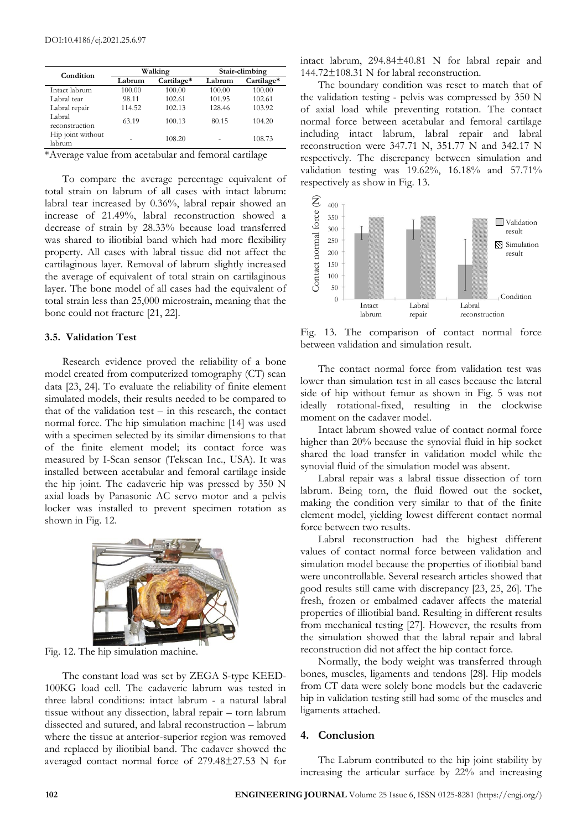| Condition                   | Walking |            | Stair-climbing |            |
|-----------------------------|---------|------------|----------------|------------|
|                             | Labrum  | Cartilage* | Labrum         | Cartilage* |
| Intact labrum               | 100.00  | 100.00     | 100.00         | 100.00     |
| Labral tear                 | 98.11   | 102.61     | 101.95         | 102.61     |
| Labral repair               | 114.52  | 102.13     | 128.46         | 103.92     |
| Labral<br>reconstruction    | 63.19   | 100.13     | 80.15          | 104.20     |
| Hip joint without<br>labrum |         | 108.20     |                | 108.73     |

\*Average value from acetabular and femoral cartilage

To compare the average percentage equivalent of total strain on labrum of all cases with intact labrum: labral tear increased by 0.36%, labral repair showed an increase of 21.49%, labral reconstruction showed a decrease of strain by 28.33% because load transferred was shared to iliotibial band which had more flexibility property. All cases with labral tissue did not affect the cartilaginous layer. Removal of labrum slightly increased the average of equivalent of total strain on cartilaginous layer. The bone model of all cases had the equivalent of total strain less than 25,000 microstrain, meaning that the bone could not fracture [21, 22].

## **3.5. Validation Test**

Research evidence proved the reliability of a bone model created from computerized tomography (CT) scan data [23, 24]. To evaluate the reliability of finite element simulated models, their results needed to be compared to that of the validation test – in this research, the contact normal force. The hip simulation machine [14] was used with a specimen selected by its similar dimensions to that of the finite element model; its contact force was measured by I-Scan sensor (Tekscan Inc., USA). It was installed between acetabular and femoral cartilage inside the hip joint. The cadaveric hip was pressed by 350 N axial loads by Panasonic AC servo motor and a pelvis locker was installed to prevent specimen rotation as shown in Fig. 12.



Fig. 12. The hip simulation machine.

The constant load was set by ZEGA S-type KEED-100KG load cell. The cadaveric labrum was tested in three labral conditions: intact labrum - a natural labral tissue without any dissection, labral repair – torn labrum dissected and sutured, and labral reconstruction – labrum where the tissue at anterior-superior region was removed and replaced by iliotibial band. The cadaver showed the averaged contact normal force of 279.48±27.53 N for intact labrum, 294.84±40.81 N for labral repair and 144.72±108.31 N for labral reconstruction.

The boundary condition was reset to match that of the validation testing - pelvis was compressed by 350 N of axial load while preventing rotation. The contact normal force between acetabular and femoral cartilage including intact labrum, labral repair and labral reconstruction were 347.71 N, 351.77 N and 342.17 N respectively. The discrepancy between simulation and validation testing was 19.62%, 16.18% and 57.71% respectively as show in Fig. 13.



Fig. 13. The comparison of contact normal force between validation and simulation result.

The contact normal force from validation test was lower than simulation test in all cases because the lateral side of hip without femur as shown in Fig. 5 was not ideally rotational-fixed, resulting in the clockwise moment on the cadaver model.

Intact labrum showed value of contact normal force higher than 20% because the synovial fluid in hip socket shared the load transfer in validation model while the synovial fluid of the simulation model was absent.

Labral repair was a labral tissue dissection of torn labrum. Being torn, the fluid flowed out the socket, making the condition very similar to that of the finite element model, yielding lowest different contact normal force between two results.

Labral reconstruction had the highest different values of contact normal force between validation and simulation model because the properties of iliotibial band were uncontrollable. Several research articles showed that good results still came with discrepancy [23, 25, 26]. The fresh, frozen or embalmed cadaver affects the material properties of illiotibial band. Resulting in different results from mechanical testing [27]. However, the results from the simulation showed that the labral repair and labral reconstruction did not affect the hip contact force.

Normally, the body weight was transferred through bones, muscles, ligaments and tendons [28]. Hip models from CT data were solely bone models but the cadaveric hip in validation testing still had some of the muscles and ligaments attached.

#### **4. Conclusion**

The Labrum contributed to the hip joint stability by increasing the articular surface by 22% and increasing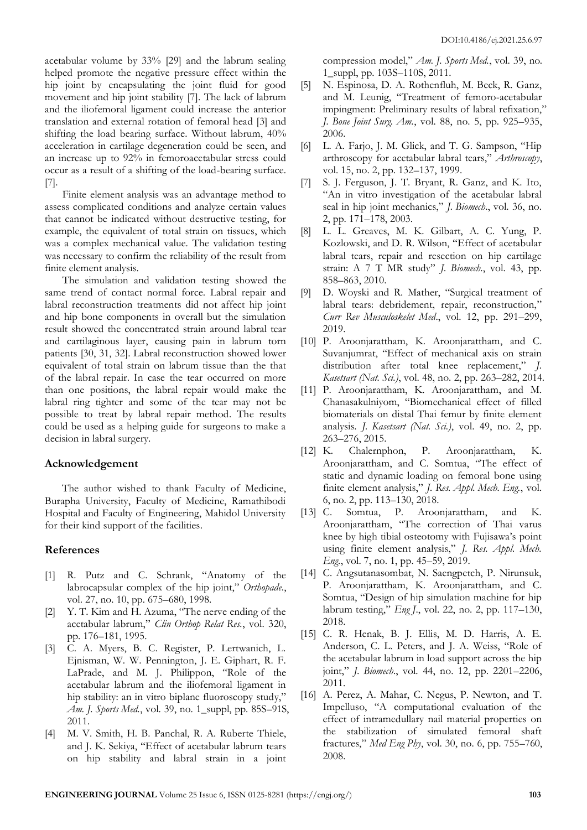acetabular volume by 33% [29] and the labrum sealing helped promote the negative pressure effect within the hip joint by encapsulating the joint fluid for good movement and hip joint stability [7]. The lack of labrum and the iliofemoral ligament could increase the anterior translation and external rotation of femoral head [3] and shifting the load bearing surface. Without labrum, 40% acceleration in cartilage degeneration could be seen, and an increase up to 92% in femoroacetabular stress could occur as a result of a shifting of the load-bearing surface. [7].

Finite element analysis was an advantage method to assess complicated conditions and analyze certain values that cannot be indicated without destructive testing, for example, the equivalent of total strain on tissues, which was a complex mechanical value. The validation testing was necessary to confirm the reliability of the result from finite element analysis.

The simulation and validation testing showed the same trend of contact normal force. Labral repair and labral reconstruction treatments did not affect hip joint and hip bone components in overall but the simulation result showed the concentrated strain around labral tear and cartilaginous layer, causing pain in labrum torn patients [30, 31, 32]. Labral reconstruction showed lower equivalent of total strain on labrum tissue than the that of the labral repair. In case the tear occurred on more than one positions, the labral repair would make the labral ring tighter and some of the tear may not be possible to treat by labral repair method. The results could be used as a helping guide for surgeons to make a decision in labral surgery.

## **Acknowledgement**

The author wished to thank Faculty of Medicine, Burapha University, Faculty of Medicine, Ramathibodi Hospital and Faculty of Engineering, Mahidol University for their kind support of the facilities.

# **References**

- [1] R. Putz and C. Schrank, "Anatomy of the labrocapsular complex of the hip joint," *Orthopade*., vol. 27, no. 10, pp. 675–680, 1998.
- [2] Y. T. Kim and H. Azuma, "The nerve ending of the acetabular labrum," *Clin Orthop Relat Res.*, vol. 320, pp. 176–181, 1995.
- [3] C. A. Myers, B. C. Register, P. Lertwanich, L. Ejnisman, W. W. Pennington, J. E. Giphart, R. F. LaPrade, and M. J. Philippon, "Role of the acetabular labrum and the iliofemoral ligament in hip stability: an in vitro biplane fluoroscopy study," *Am. J. Sports Med.*, vol. 39, no. 1\_suppl, pp. 85S–91S, 2011.
- [4] M. V. Smith, H. B. Panchal, R. A. Ruberte Thiele, and J. K. Sekiya, "Effect of acetabular labrum tears on hip stability and labral strain in a joint

compression model," *Am. J. Sports Med.*, vol. 39, no. 1\_suppl, pp. 103S–110S, 2011.

- [5] N. Espinosa, D. A. Rothenfluh, M. Beck, R. Ganz, and M. Leunig, "Treatment of femoro-acetabular impingment: Preliminary results of labral refixation," *J. Bone Joint Surg. Am.*, vol. 88, no. 5, pp. 925–935, 2006.
- [6] L. A. Farjo, J. M. Glick, and T. G. Sampson, "Hip arthroscopy for acetabular labral tears," *Arthroscopy*, vol. 15, no. 2, pp. 132–137, 1999.
- [7] S. J. Ferguson, J. T. Bryant, R. Ganz, and K. Ito, "An in vitro investigation of the acetabular labral seal in hip joint mechanics," *J. Biomech*., vol. 36, no. 2, pp. 171–178, 2003.
- [8] L. L. Greaves, M. K. Gilbart, A. C. Yung, P. Kozlowski, and D. R. Wilson, "Effect of acetabular labral tears, repair and resection on hip cartilage strain: A 7 T MR study" *J. Biomech*., vol. 43, pp. 858–863, 2010.
- [9] D. Woyski and R. Mather, "Surgical treatment of labral tears: debridement, repair, reconstruction," *Curr Rev Musculoskelet Med*., vol. 12, pp. 291–299, 2019.
- [10] P. Aroonjarattham, K. Aroonjarattham, and C. Suvanjumrat, "Effect of mechanical axis on strain distribution after total knee replacement," *J. Kasetsart (Nat. Sci.)*, vol. 48, no. 2, pp. 263–282, 2014.
- [11] P. Aroonjarattham, K. Aroonjarattham, and M. Chanasakulniyom, "Biomechanical effect of filled biomaterials on distal Thai femur by finite element analysis. *J. Kasetsart (Nat. Sci.)*, vol. 49, no. 2, pp. 263–276, 2015.
- [12] K. Chalernphon, P. Aroonjarattham, K. Aroonjarattham, and C. Somtua, "The effect of static and dynamic loading on femoral bone using finite element analysis," *J. Res. Appl. Mech. Eng.*, vol. 6, no. 2, pp. 113–130, 2018.
- [13] C. Somtua, P. Aroonjarattham, and K. Aroonjarattham, "The correction of Thai varus knee by high tibial osteotomy with Fujisawa's point using finite element analysis," *J. Res. Appl. Mech. Eng.*, vol. 7, no. 1, pp. 45–59, 2019.
- [14] C. Angsutanasombat, N. Saengpetch, P. Nirunsuk, P. Aroonjarattham, K. Aroonjarattham, and C. Somtua, "Design of hip simulation machine for hip labrum testing," *Eng J*., vol. 22, no. 2, pp. 117–130, 2018.
- [15] C. R. Henak, B. J. Ellis, M. D. Harris, A. E. Anderson, C. L. Peters, and J. A. Weiss, "Role of the acetabular labrum in load support across the hip joint," *J. Biomech*., vol. 44, no. 12, pp. 2201–2206, 2011.
- [16] A. Perez, A. Mahar, C. Negus, P. Newton, and T. Impelluso, "A computational evaluation of the effect of intramedullary nail material properties on the stabilization of simulated femoral shaft fractures," *Med Eng Phy*, vol. 30, no. 6, pp. 755–760, 2008.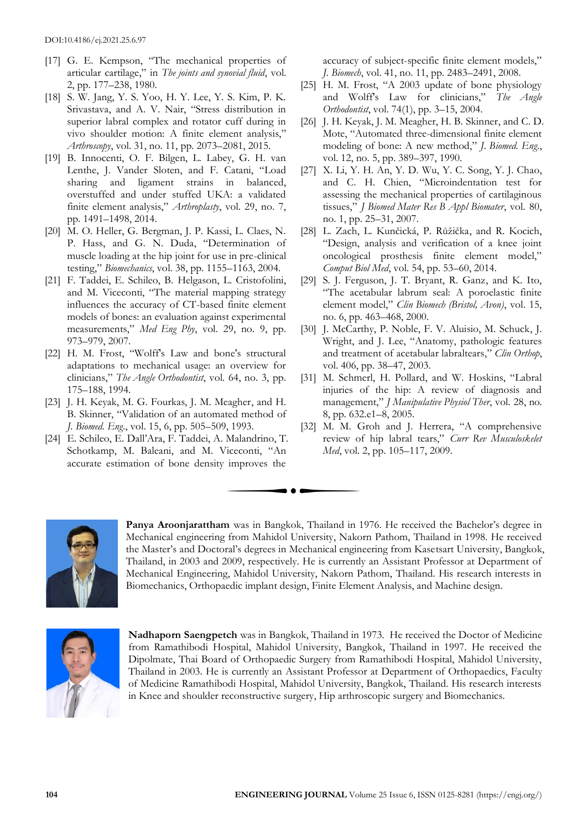- [17] G. E. Kempson, "The mechanical properties of articular cartilage," in *The joints and synovial fluid*, vol. 2, pp. 177–238, 1980.
- [18] S. W. Jang, Y. S. Yoo, H. Y. Lee, Y. S. Kim, P. K. Srivastava, and A. V. Nair, "Stress distribution in superior labral complex and rotator cuff during in vivo shoulder motion: A finite element analysis," *Arthroscopy*, vol. 31, no. 11, pp. 2073–2081, 2015.
- [19] B. Innocenti, O. F. Bilgen, L. Labey, G. H. van Lenthe, J. Vander Sloten, and F. Catani, "Load sharing and ligament strains in balanced, overstuffed and under stuffed UKA: a validated finite element analysis," *Arthroplasty*, vol. 29, no. 7, pp. 1491–1498, 2014.
- [20] M. O. Heller, G. Bergman, J. P. Kassi, L. Claes, N. P. Hass, and G. N. Duda, "Determination of muscle loading at the hip joint for use in pre-clinical testing," *Biomechanics*, vol. 38, pp. 1155–1163, 2004.
- [21] F. Taddei, E. Schileo, B. Helgason, L. Cristofolini, and M. Viceconti, "The material mapping strategy influences the accuracy of CT-based finite element models of bones: an evaluation against experimental measurements," *Med Eng Phy*, vol. 29, no. 9, pp. 973–979, 2007.
- [22] H. M. Frost, "Wolff's Law and bone's structural adaptations to mechanical usage: an overview for clinicians," *The Angle Orthodontist*, vol. 64, no. 3, pp. 175–188, 1994.
- [23] J. H. Keyak, M. G. Fourkas, J. M. Meagher, and H. B. Skinner, "Validation of an automated method of *J. Biomed. Eng*., vol. 15, 6, pp. 505–509, 1993.
- [24] E. Schileo, E. Dall'Ara, F. Taddei, A. Malandrino, T. Schotkamp, M. Baleani, and M. Viceconti, "An accurate estimation of bone density improves the

accuracy of subject-specific finite element models," *J. Biomech*, vol. 41, no. 11, pp. 2483–2491, 2008.

- [25] H. M. Frost, "A 2003 update of bone physiology and Wolff's Law for clinicians," *The Angle Orthodontist*, vol. 74(1), pp. 3–15, 2004.
- [26] J. H. Keyak, J. M. Meagher, H. B. Skinner, and C. D. Mote, "Automated three-dimensional finite element modeling of bone: A new method," *J. Biomed. Eng*., vol. 12, no. 5, pp. 389–397, 1990.
- [27] X. Li, Y. H. An, Y. D. Wu, Y. C. Song, Y. J. Chao, and C. H. Chien, "Microindentation test for assessing the mechanical properties of cartilaginous tissues," *J Biomed Mater Res B Appl Biomater*, vol. 80, no. 1, pp. 25–31, 2007.
- [28] L. Zach, L. Kunčická, P. Růžička, and R. Kocich, "Design, analysis and verification of a knee joint oncological prosthesis finite element model," *Comput Biol Med*, vol. 54, pp. 53–60, 2014.
- [29] S. J. Ferguson, J. T. Bryant, R. Ganz, and K. Ito, "The acetabular labrum seal: A poroelastic finite element model," *Clin Biomech (Bristol, Avon)*, vol. 15, no. 6, pp. 463–468, 2000.
- [30] J. McCarthy, P. Noble, F. V. Aluisio, M. Schuck, J. Wright, and J. Lee, "Anatomy, pathologic features and treatment of acetabular labraltears," *Clin Orthop*, vol. 406, pp. 38–47, 2003.
- [31] M. Schmerl, H. Pollard, and W. Hoskins, "Labral injuries of the hip: A review of diagnosis and management," *J Manipulative Physiol Ther*, vol. 28, no. 8, pp. 632.e1–8, 2005.
- [32] M. M. Groh and J. Herrera, "A comprehensive review of hip labral tears," *Curr Rev Musculoskelet Med*, vol. 2, pp. 105–117, 2009.



**Panya Aroonjarattham** was in Bangkok, Thailand in 1976. He received the Bachelor's degree in Mechanical engineering from Mahidol University, Nakorn Pathom, Thailand in 1998. He received the Master's and Doctoral's degrees in Mechanical engineering from Kasetsart University, Bangkok, Thailand, in 2003 and 2009, respectively. He is currently an Assistant Professor at Department of Mechanical Engineering, Mahidol University, Nakorn Pathom, Thailand. His research interests in Biomechanics, Orthopaedic implant design, Finite Element Analysis, and Machine design.



**Nadhaporn Saengpetch** was in Bangkok, Thailand in 1973. He received the Doctor of Medicine from Ramathibodi Hospital, Mahidol University, Bangkok, Thailand in 1997. He received the Dipolmate, Thai Board of Orthopaedic Surgery from Ramathibodi Hospital, Mahidol University, Thailand in 2003. He is currently an Assistant Professor at Department of Orthopaedics, Faculty of Medicine Ramathibodi Hospital, Mahidol University, Bangkok, Thailand. His research interests in Knee and shoulder reconstructive surgery, Hip arthroscopic surgery and Biomechanics.